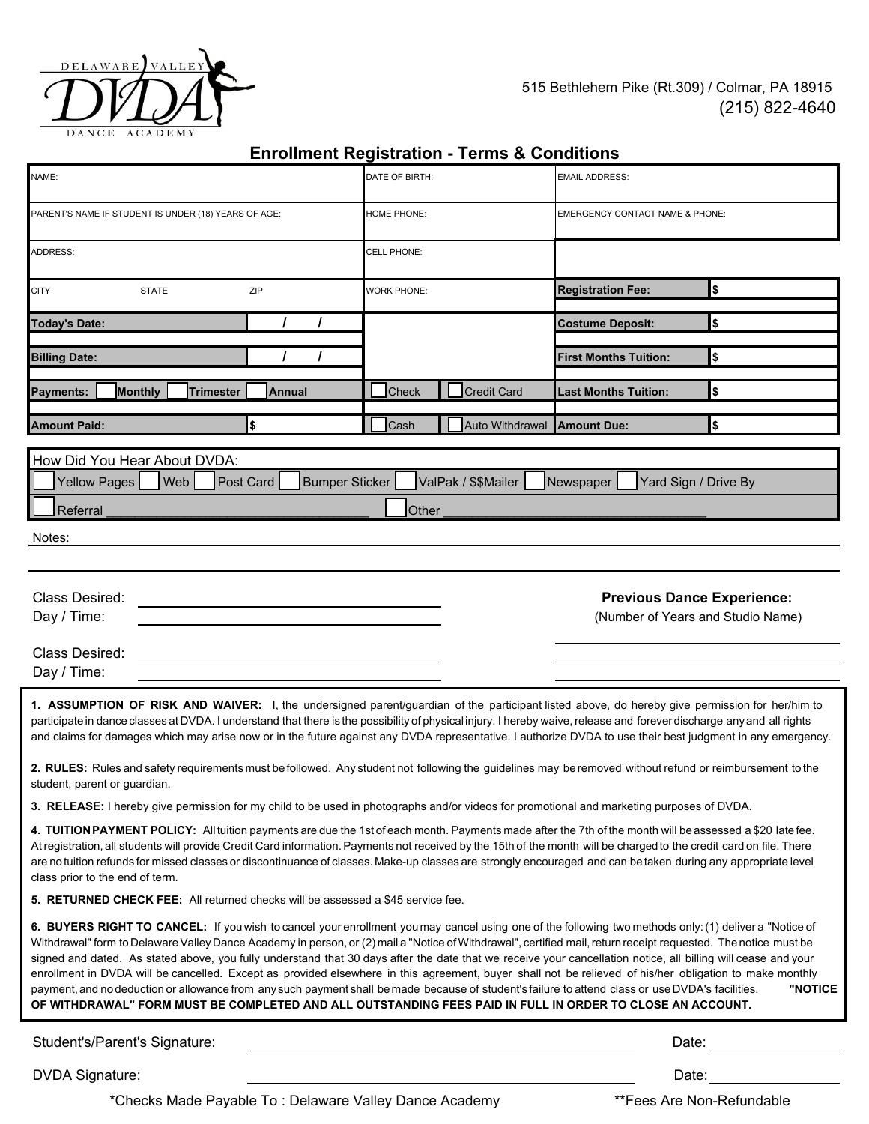

515 Bethlehem Pike (Rt.309) / Colmar, PA 18915 (215) 822-4640

|                                                                                                                                                                                                                                                                                                                                                                                                                                                                                                                                                                                                                                                                                                                                                                                                                                                                                                                        |                    | Lillollillelit Registration - Terriis & Conditions |                                                                                                                                                                                                                               |                                                                        |  |  |
|------------------------------------------------------------------------------------------------------------------------------------------------------------------------------------------------------------------------------------------------------------------------------------------------------------------------------------------------------------------------------------------------------------------------------------------------------------------------------------------------------------------------------------------------------------------------------------------------------------------------------------------------------------------------------------------------------------------------------------------------------------------------------------------------------------------------------------------------------------------------------------------------------------------------|--------------------|----------------------------------------------------|-------------------------------------------------------------------------------------------------------------------------------------------------------------------------------------------------------------------------------|------------------------------------------------------------------------|--|--|
| NAME:                                                                                                                                                                                                                                                                                                                                                                                                                                                                                                                                                                                                                                                                                                                                                                                                                                                                                                                  | DATE OF BIRTH:     |                                                    | <b>EMAIL ADDRESS:</b>                                                                                                                                                                                                         |                                                                        |  |  |
| PARENT'S NAME IF STUDENT IS UNDER (18) YEARS OF AGE:                                                                                                                                                                                                                                                                                                                                                                                                                                                                                                                                                                                                                                                                                                                                                                                                                                                                   | HOME PHONE:        |                                                    | EMERGENCY CONTACT NAME & PHONE:                                                                                                                                                                                               |                                                                        |  |  |
| ADDRESS:                                                                                                                                                                                                                                                                                                                                                                                                                                                                                                                                                                                                                                                                                                                                                                                                                                                                                                               | CELL PHONE:        |                                                    |                                                                                                                                                                                                                               |                                                                        |  |  |
| <b>CITY</b><br><b>STATE</b><br>ZIP                                                                                                                                                                                                                                                                                                                                                                                                                                                                                                                                                                                                                                                                                                                                                                                                                                                                                     | <b>WORK PHONE:</b> |                                                    | <b>Registration Fee:</b>                                                                                                                                                                                                      | \$                                                                     |  |  |
| <b>Today's Date:</b>                                                                                                                                                                                                                                                                                                                                                                                                                                                                                                                                                                                                                                                                                                                                                                                                                                                                                                   |                    |                                                    | <b>Costume Deposit:</b>                                                                                                                                                                                                       | \$                                                                     |  |  |
| <b>Billing Date:</b>                                                                                                                                                                                                                                                                                                                                                                                                                                                                                                                                                                                                                                                                                                                                                                                                                                                                                                   |                    |                                                    | <b>First Months Tuition:</b>                                                                                                                                                                                                  | \$                                                                     |  |  |
| <b>Monthly</b><br>Payments:<br>Trimester<br>Annual                                                                                                                                                                                                                                                                                                                                                                                                                                                                                                                                                                                                                                                                                                                                                                                                                                                                     | Check              | <b>Credit Card</b>                                 | Last Months Tuition:                                                                                                                                                                                                          | \$                                                                     |  |  |
| \$<br><b>Amount Paid:</b>                                                                                                                                                                                                                                                                                                                                                                                                                                                                                                                                                                                                                                                                                                                                                                                                                                                                                              | Cash               | Auto Withdrawal                                    | Amount Due:                                                                                                                                                                                                                   | \$                                                                     |  |  |
| How Did You Hear About DVDA:<br>Yellow Pages<br>Web<br>ValPak / \$\$Mailer<br>Post Card<br><b>Bumper Sticker</b><br>Yard Sign / Drive By<br>Newspaper<br>Referral<br>Other<br>Notes:                                                                                                                                                                                                                                                                                                                                                                                                                                                                                                                                                                                                                                                                                                                                   |                    |                                                    |                                                                                                                                                                                                                               |                                                                        |  |  |
| Class Desired:<br>Day / Time:<br>Class Desired:<br>Day / Time:                                                                                                                                                                                                                                                                                                                                                                                                                                                                                                                                                                                                                                                                                                                                                                                                                                                         |                    |                                                    |                                                                                                                                                                                                                               | <b>Previous Dance Experience:</b><br>(Number of Years and Studio Name) |  |  |
| 1. ASSUMPTION OF RISK AND WAIVER: I, the undersigned parent/guardian of the participant listed above, do hereby give permission for her/him to<br>participate in dance classes at DVDA. I understand that there is the possibility of physical injury. I hereby waive, release and forever discharge any and all rights<br>and claims for damages which may arise now or in the future against any DVDA representative. I authorize DVDA to use their best judgment in any emergency.<br>2. RULES: Rules and safety requirements must be followed. Any student not following the guidelines may be removed without refund or reimbursement to the<br>student, parent or guardian.                                                                                                                                                                                                                                      |                    |                                                    |                                                                                                                                                                                                                               |                                                                        |  |  |
| 3. RELEASE: I hereby give permission for my child to be used in photographs and/or videos for promotional and marketing purposes of DVDA.                                                                                                                                                                                                                                                                                                                                                                                                                                                                                                                                                                                                                                                                                                                                                                              |                    |                                                    |                                                                                                                                                                                                                               |                                                                        |  |  |
| 4. TUITION PAYMENT POLICY: All tuition payments are due the 1st of each month. Payments made after the 7th of the month will be assessed a \$20 late fee.<br>At registration, all students will provide Credit Card information. Payments not received by the 15th of the month will be charged to the credit card on file. There<br>are no tuition refunds for missed classes or discontinuance of classes. Make-up classes are strongly encouraged and can be taken during any appropriate level<br>class prior to the end of term.                                                                                                                                                                                                                                                                                                                                                                                  |                    |                                                    |                                                                                                                                                                                                                               |                                                                        |  |  |
| 5. RETURNED CHECK FEE: All returned checks will be assessed a \$45 service fee.                                                                                                                                                                                                                                                                                                                                                                                                                                                                                                                                                                                                                                                                                                                                                                                                                                        |                    |                                                    |                                                                                                                                                                                                                               |                                                                        |  |  |
| 6. BUYERS RIGHT TO CANCEL: If you wish to cancel your enrollment you may cancel using one of the following two methods only: (1) deliver a "Notice of<br>Withdrawal" form to Delaware Valley Dance Academy in person, or (2) mail a "Notice of Withdrawal", certified mail, return receipt requested. The notice must be<br>signed and dated. As stated above, you fully understand that 30 days after the date that we receive your cancellation notice, all billing will cease and your<br>enrollment in DVDA will be cancelled. Except as provided elsewhere in this agreement, buyer shall not be relieved of his/her obligation to make monthly<br>payment, and no deduction or allowance from any such payment shall be made because of student's failure to attend class or use DVDA's facilities.<br>OF WITHDRAWAL" FORM MUST BE COMPLETED AND ALL OUTSTANDING FEES PAID IN FULL IN ORDER TO CLOSE AN ACCOUNT. |                    |                                                    |                                                                                                                                                                                                                               | "NOTICE                                                                |  |  |
| Student's/Parent's Signature:                                                                                                                                                                                                                                                                                                                                                                                                                                                                                                                                                                                                                                                                                                                                                                                                                                                                                          |                    |                                                    |                                                                                                                                                                                                                               |                                                                        |  |  |
| <b>DVDA Signature:</b>                                                                                                                                                                                                                                                                                                                                                                                                                                                                                                                                                                                                                                                                                                                                                                                                                                                                                                 |                    |                                                    | Date: and the state of the state of the state of the state of the state of the state of the state of the state of the state of the state of the state of the state of the state of the state of the state of the state of the |                                                                        |  |  |

## **Enrollment Registration - Terms & Conditions**

\*Checks Made Payable To : Delaware Valley Dance Academy \*\*Fees Are Non-Refundable